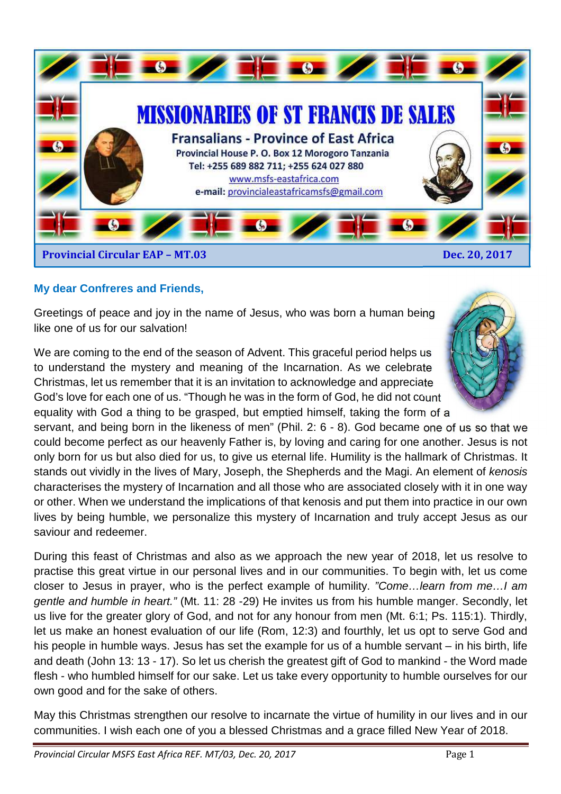

### **My dear Confreres and Friends,**

Greetings of peace and joy in the name of Jesus, who was born a human being like one of us for our salvation!

We are coming to the end of the season of Advent. This graceful period helps us to understand the mystery and meaning of the Incarnation. As we celebrate Christmas, let us remember that it is an invitation to acknowledge and appreciate God's love for each one of us. "Though he was in the form of God, he did not count equality with God a thing to be grasped, but emptied himself, taking the form of a

servant, and being born in the likeness of men" (Phil. 2: 6 - 8). God became one of us so that we could become perfect as our heavenly Father is, by loving and caring for one another. Jesus is not only born for us but also died for us, to give us eternal life. Humility is the hallmark of Christmas. It stands out vividly in the lives of Mary, Joseph, the Shepherds and the Magi. An element of kenosis characterises the mystery of Incarnation and all those who are associated closely with it in one way or other. When we understand the implications of that kenosis and put them into practice in our own lives by being humble, we personalize this mystery of Incarnation and truly accept Jesus as our saviour and redeemer.

During this feast of Christmas and also as we approach the new year of 2018, let us resolve to practise this great virtue in our personal lives and in our communities. To begin with, let us come closer to Jesus in prayer, who is the perfect example of humility. "Come…learn from me…I am gentle and humble in heart." (Mt. 11: 28 -29) He invites us from his humble manger. Secondly, let us live for the greater glory of God, and not for any honour from men (Mt. 6:1; Ps. 115:1). Thirdly, let us make an honest evaluation of our life (Rom, 12:3) and fourthly, let us opt to serve God and his people in humble ways. Jesus has set the example for us of a humble servant – in his birth, life and death (John 13: 13 - 17). So let us cherish the greatest gift of God to mankind - the Word made flesh - who humbled himself for our sake. Let us take every opportunity to humble ourselves for our own good and for the sake of others.

May this Christmas strengthen our resolve to incarnate the virtue of humility in our lives and in our communities. I wish each one of you a blessed Christmas and a grace filled New Year of 2018.

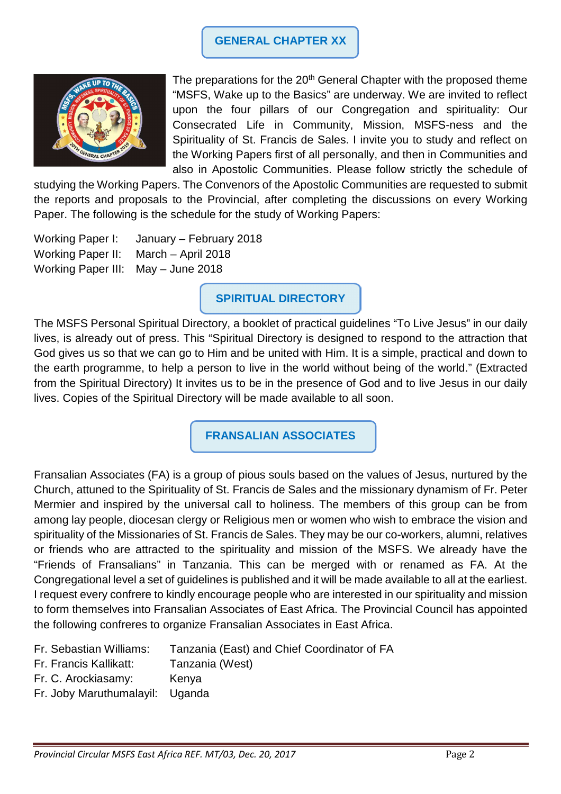### **GENERAL CHAPTER XX**



The preparations for the  $20<sup>th</sup>$  General Chapter with the proposed theme "MSFS, Wake up to the Basics" are underway. We are invited to reflect upon the four pillars of our Congregation and spirituality: Our Consecrated Life in Community, Mission, MSFS-ness and the Spirituality of St. Francis de Sales. I invite you to study and reflect on the Working Papers first of all personally, and then in Communities and also in Apostolic Communities. Please follow strictly the schedule of

studying the Working Papers. The Convenors of the Apostolic Communities are requested to submit the reports and proposals to the Provincial, after completing the discussions on every Working Paper. The following is the schedule for the study of Working Papers:

Working Paper I: January – February 2018 Working Paper II: March – April 2018 Working Paper III: May – June 2018

**SPIRITUAL DIRECTORY** 

The MSFS Personal Spiritual Directory, a booklet of practical guidelines "To Live Jesus" in our daily lives, is already out of press. This "Spiritual Directory is designed to respond to the attraction that God gives us so that we can go to Him and be united with Him. It is a simple, practical and down to the earth programme, to help a person to live in the world without being of the world." (Extracted from the Spiritual Directory) It invites us to be in the presence of God and to live Jesus in our daily lives. Copies of the Spiritual Directory will be made available to all soon.

**FRANSALIAN ASSOCIATES** 

Fransalian Associates (FA) is a group of pious souls based on the values of Jesus, nurtured by the Church, attuned to the Spirituality of St. Francis de Sales and the missionary dynamism of Fr. Peter Mermier and inspired by the universal call to holiness. The members of this group can be from among lay people, diocesan clergy or Religious men or women who wish to embrace the vision and spirituality of the Missionaries of St. Francis de Sales. They may be our co-workers, alumni, relatives or friends who are attracted to the spirituality and mission of the MSFS. We already have the "Friends of Fransalians" in Tanzania. This can be merged with or renamed as FA. At the Congregational level a set of guidelines is published and it will be made available to all at the earliest. I request every confrere to kindly encourage people who are interested in our spirituality and mission to form themselves into Fransalian Associates of East Africa. The Provincial Council has appointed the following confreres to organize Fransalian Associates in East Africa.

| Tanzania (East) and Chief Coordinator of FA |
|---------------------------------------------|
|                                             |

- Fr. Francis Kallikatt: Tanzania (West)
- Fr. C. Arockiasamy: Kenya
- Fr. Joby Maruthumalayil: Uganda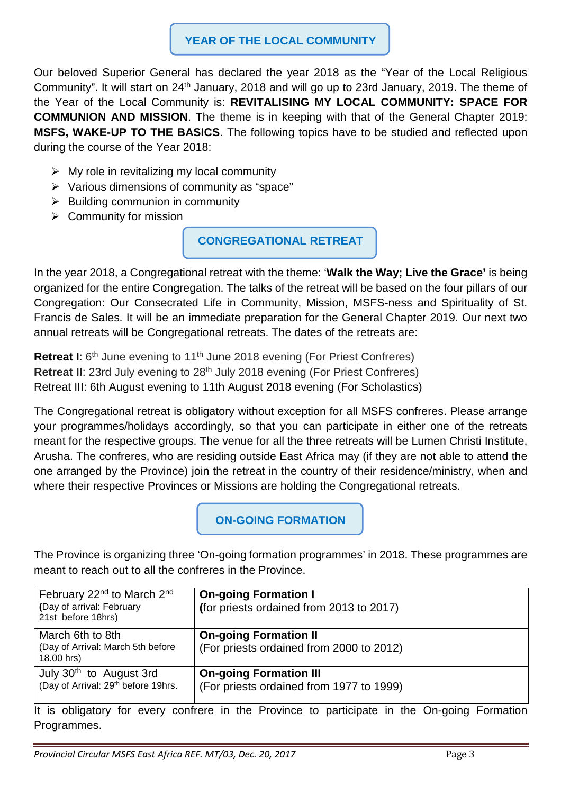## **YEAR OF THE LOCAL COMMUNITY**

Our beloved Superior General has declared the year 2018 as the "Year of the Local Religious Community". It will start on 24th January, 2018 and will go up to 23rd January, 2019. The theme of the Year of the Local Community is: **REVITALISING MY LOCAL COMMUNITY: SPACE FOR COMMUNION AND MISSION**. The theme is in keeping with that of the General Chapter 2019: **MSFS, WAKE-UP TO THE BASICS**. The following topics have to be studied and reflected upon during the course of the Year 2018:

- $\triangleright$  My role in revitalizing my local community
- $\triangleright$  Various dimensions of community as "space"
- $\triangleright$  Building communion in community
- $\triangleright$  Community for mission

**CONGREGATIONAL RETREAT** 

In the year 2018, a Congregational retreat with the theme: '**Walk the Way; Live the Grace'** is being organized for the entire Congregation. The talks of the retreat will be based on the four pillars of our Congregation: Our Consecrated Life in Community, Mission, MSFS-ness and Spirituality of St. Francis de Sales. It will be an immediate preparation for the General Chapter 2019. Our next two annual retreats will be Congregational retreats. The dates of the retreats are:

**Retreat I:** 6<sup>th</sup> June evening to 11<sup>th</sup> June 2018 evening (For Priest Confreres) **Retreat II:** 23rd July evening to 28<sup>th</sup> July 2018 evening (For Priest Confreres) Retreat III: 6th August evening to 11th August 2018 evening (For Scholastics)

The Congregational retreat is obligatory without exception for all MSFS confreres. Please arrange your programmes/holidays accordingly, so that you can participate in either one of the retreats meant for the respective groups. The venue for all the three retreats will be Lumen Christi Institute, Arusha. The confreres, who are residing outside East Africa may (if they are not able to attend the one arranged by the Province) join the retreat in the country of their residence/ministry, when and where their respective Provinces or Missions are holding the Congregational retreats.

**ON-GOING FORMATION** 

The Province is organizing three 'On-going formation programmes' in 2018. These programmes are meant to reach out to all the confreres in the Province.

| February 22 <sup>nd</sup> to March 2 <sup>nd</sup><br>(Day of arrival: February<br>21st before 18hrs) | <b>On-going Formation I</b><br>(for priests ordained from 2013 to 2017)                                                                                                                                                    |
|-------------------------------------------------------------------------------------------------------|----------------------------------------------------------------------------------------------------------------------------------------------------------------------------------------------------------------------------|
| March 6th to 8th<br>(Day of Arrival: March 5th before<br>18.00 hrs)                                   | <b>On-going Formation II</b><br>(For priests ordained from 2000 to 2012)                                                                                                                                                   |
| July 30 <sup>th</sup> to August 3rd<br>(Day of Arrival: 29th before 19hrs.                            | <b>On-going Formation III</b><br>(For priests ordained from 1977 to 1999)<br>In the state of the second contracts of a $\blacksquare$ . The transmission of the field $\blacksquare$ , $\blacksquare$ , and $\blacksquare$ |

It is obligatory for every confrere in the Province to participate in the On-going Formation Programmes.

*Provincial Circular MSFS East Africa REF. MT/03, Dec. 20, 2017* Page 3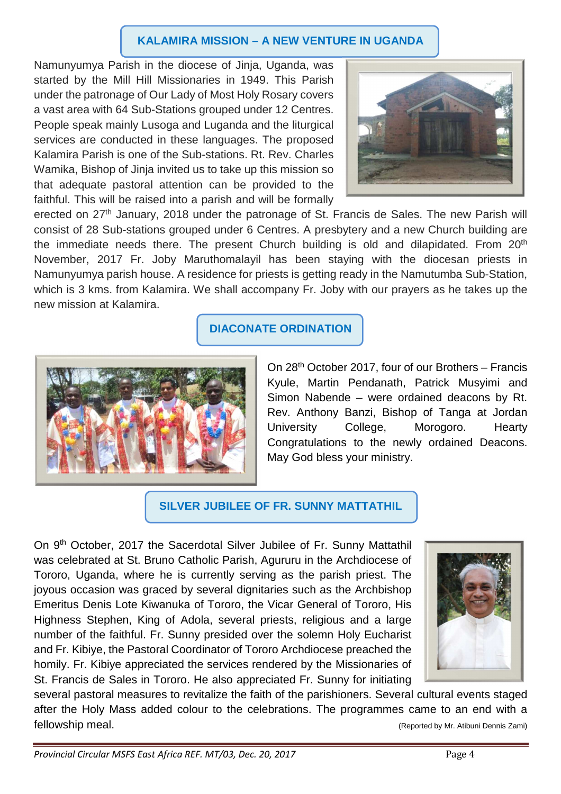#### **KALAMIRA MISSION – A NEW VENTURE IN UGANDA**

Namunyumya Parish in the diocese of Jinja, Uganda, was started by the Mill Hill Missionaries in 1949. This Parish under the patronage of Our Lady of Most Holy Rosary covers a vast area with 64 Sub-Stations grouped under 12 Centres. People speak mainly Lusoga and Luganda and the liturgical services are conducted in these languages. The proposed Kalamira Parish is one of the Sub-stations. Rt. Rev. Charles Wamika, Bishop of Jinja invited us to take up this mission so that adequate pastoral attention can be provided to the faithful. This will be raised into a parish and will be formally



erected on 27<sup>th</sup> January, 2018 under the patronage of St. Francis de Sales. The new Parish will consist of 28 Sub-stations grouped under 6 Centres. A presbytery and a new Church building are the immediate needs there. The present Church building is old and dilapidated. From 20<sup>th</sup> November, 2017 Fr. Joby Maruthomalayil has been staying with the diocesan priests in Namunyumya parish house. A residence for priests is getting ready in the Namutumba Sub-Station, which is 3 kms. from Kalamira. We shall accompany Fr. Joby with our prayers as he takes up the new mission at Kalamira.

## **DIACONATE ORDINATION**



On 28th October 2017, four of our Brothers – Francis Kyule, Martin Pendanath, Patrick Musyimi and Simon Nabende – were ordained deacons by Rt. Rev. Anthony Banzi, Bishop of Tanga at Jordan University College, Morogoro. Hearty Congratulations to the newly ordained Deacons. May God bless your ministry.

## **SILVER JUBILEE OF FR. SUNNY MATTATHIL**

On 9th October, 2017 the Sacerdotal Silver Jubilee of Fr. Sunny Mattathil was celebrated at St. Bruno Catholic Parish, Agururu in the Archdiocese of Tororo, Uganda, where he is currently serving as the parish priest. The joyous occasion was graced by several dignitaries such as the Archbishop Emeritus Denis Lote Kiwanuka of Tororo, the Vicar General of Tororo, His Highness Stephen, King of Adola, several priests, religious and a large number of the faithful. Fr. Sunny presided over the solemn Holy Eucharist and Fr. Kibiye, the Pastoral Coordinator of Tororo Archdiocese preached the homily. Fr. Kibiye appreciated the services rendered by the Missionaries of St. Francis de Sales in Tororo. He also appreciated Fr. Sunny for initiating



several pastoral measures to revitalize the faith of the parishioners. Several cultural events staged after the Holy Mass added colour to the celebrations. The programmes came to an end with a fellowship meal. (Reported by Mr. Atibuni Dennis Zami)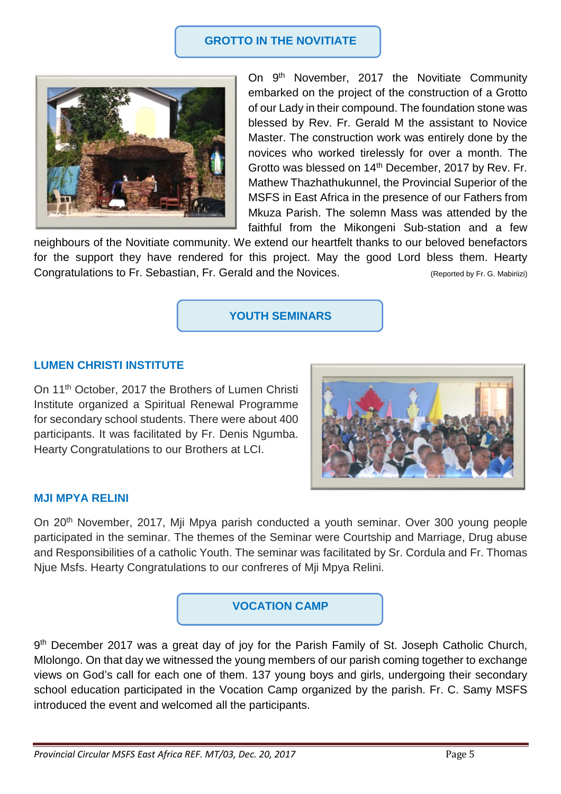#### **GROTTO IN THE NOVITIATE**



On 9<sup>th</sup> November, 2017 the Novitiate Community embarked on the project of the construction of a Grotto of our Lady in their compound. The foundation stone was blessed by Rev. Fr. Gerald M the assistant to Novice Master. The construction work was entirely done by the novices who worked tirelessly for over a month. The Grotto was blessed on 14<sup>th</sup> December, 2017 by Rev. Fr. Mathew Thazhathukunnel, the Provincial Superior of the MSFS in East Africa in the presence of our Fathers from Mkuza Parish. The solemn Mass was attended by the faithful from the Mikongeni Sub-station and a few

neighbours of the Novitiate community. We extend our heartfelt thanks to our beloved benefactors for the support they have rendered for this project. May the good Lord bless them. Hearty Congratulations to Fr. Sebastian, Fr. Gerald and the Novices. (Reported by Fr. G. Mabiriizi)

**YOUTH SEMINARS** 

#### **LUMEN CHRISTI INSTITUTE**

On 11th October, 2017 the Brothers of Lumen Christi Institute organized a Spiritual Renewal Programme for secondary school students. There were about 400 participants. It was facilitated by Fr. Denis Ngumba. Hearty Congratulations to our Brothers at LCI.



#### **MJI MPYA RELINI**

On 20th November, 2017, Mji Mpya parish conducted a youth seminar. Over 300 young people participated in the seminar. The themes of the Seminar were Courtship and Marriage, Drug abuse and Responsibilities of a catholic Youth. The seminar was facilitated by Sr. Cordula and Fr. Thomas Njue Msfs. Hearty Congratulations to our confreres of Mji Mpya Relini.



9<sup>th</sup> December 2017 was a great day of joy for the Parish Family of St. Joseph Catholic Church, Mlolongo. On that day we witnessed the young members of our parish coming together to exchange views on God's call for each one of them. 137 young boys and girls, undergoing their secondary school education participated in the Vocation Camp organized by the parish. Fr. C. Samy MSFS introduced the event and welcomed all the participants.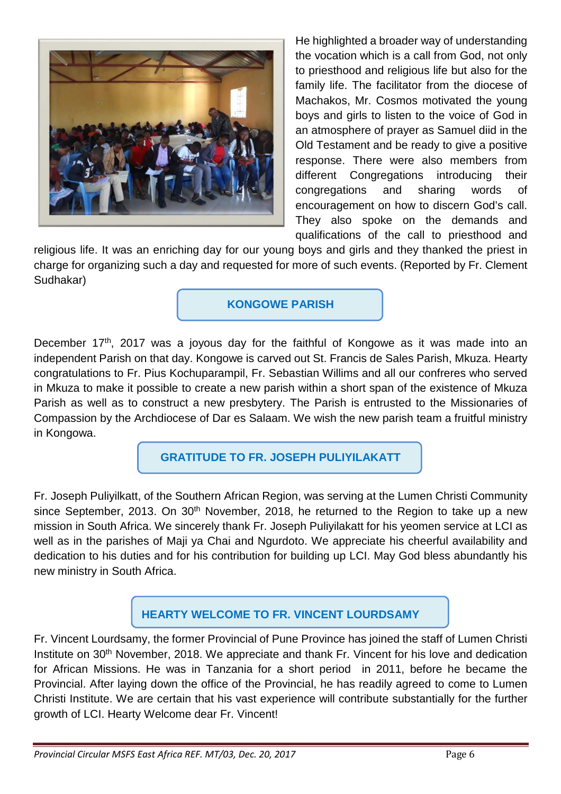

He highlighted a broader way of understanding the vocation which is a call from God, not only to priesthood and religious life but also for the family life. The facilitator from the diocese of Machakos, Mr. Cosmos motivated the young boys and girls to listen to the voice of God in an atmosphere of prayer as Samuel diid in the Old Testament and be ready to give a positive response. There were also members from different Congregations introducing their congregations and sharing words of encouragement on how to discern God's call. They also spoke on the demands and qualifications of the call to priesthood and

religious life. It was an enriching day for our young boys and girls and they thanked the priest in charge for organizing such a day and requested for more of such events. (Reported by Fr. Clement Sudhakar)

**KONGOWE PARISH** 

December 17<sup>th</sup>, 2017 was a joyous day for the faithful of Kongowe as it was made into an independent Parish on that day. Kongowe is carved out St. Francis de Sales Parish, Mkuza. Hearty congratulations to Fr. Pius Kochuparampil, Fr. Sebastian Willims and all our confreres who served in Mkuza to make it possible to create a new parish within a short span of the existence of Mkuza Parish as well as to construct a new presbytery. The Parish is entrusted to the Missionaries of Compassion by the Archdiocese of Dar es Salaam. We wish the new parish team a fruitful ministry in Kongowa.

**GRATITUDE TO FR. JOSEPH PULIYILAKATT** 

Fr. Joseph Puliyilkatt, of the Southern African Region, was serving at the Lumen Christi Community since September, 2013. On 30<sup>th</sup> November, 2018, he returned to the Region to take up a new mission in South Africa. We sincerely thank Fr. Joseph Puliyilakatt for his yeomen service at LCI as well as in the parishes of Maji ya Chai and Ngurdoto. We appreciate his cheerful availability and dedication to his duties and for his contribution for building up LCI. May God bless abundantly his new ministry in South Africa.

# **HEARTY WELCOME TO FR. VINCENT LOURDSAMY**

Fr. Vincent Lourdsamy, the former Provincial of Pune Province has joined the staff of Lumen Christi Institute on 30th November, 2018. We appreciate and thank Fr. Vincent for his love and dedication for African Missions. He was in Tanzania for a short period in 2011, before he became the Provincial. After laying down the office of the Provincial, he has readily agreed to come to Lumen Christi Institute. We are certain that his vast experience will contribute substantially for the further growth of LCI. Hearty Welcome dear Fr. Vincent!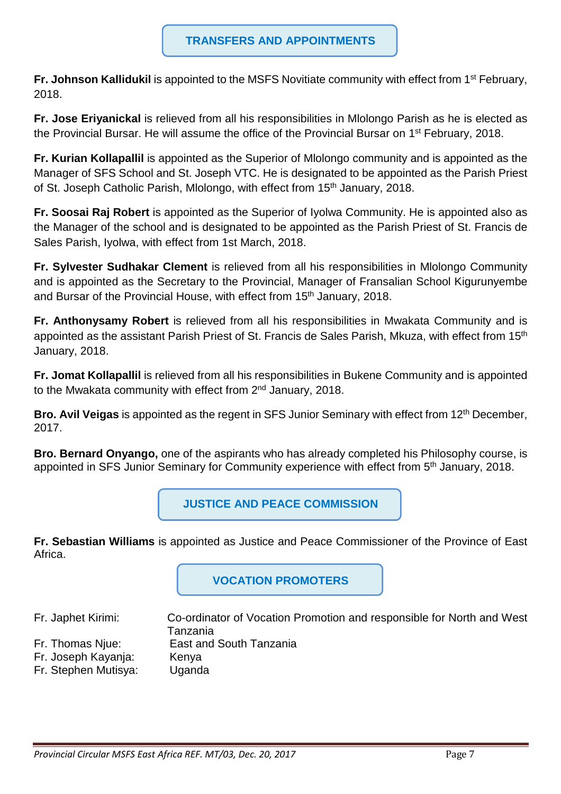**Fr. Johnson Kallidukil** is appointed to the MSFS Novitiate community with effect from 1<sup>st</sup> February, 2018.

**Fr. Jose Eriyanickal** is relieved from all his responsibilities in Mlolongo Parish as he is elected as the Provincial Bursar. He will assume the office of the Provincial Bursar on 1<sup>st</sup> February, 2018.

**Fr. Kurian Kollapallil** is appointed as the Superior of Mlolongo community and is appointed as the Manager of SFS School and St. Joseph VTC. He is designated to be appointed as the Parish Priest of St. Joseph Catholic Parish, Mlolongo, with effect from 15<sup>th</sup> January, 2018.

**Fr. Soosai Raj Robert** is appointed as the Superior of Iyolwa Community. He is appointed also as the Manager of the school and is designated to be appointed as the Parish Priest of St. Francis de Sales Parish, Iyolwa, with effect from 1st March, 2018.

**Fr. Sylvester Sudhakar Clement** is relieved from all his responsibilities in Mlolongo Community and is appointed as the Secretary to the Provincial, Manager of Fransalian School Kigurunyembe and Bursar of the Provincial House, with effect from 15<sup>th</sup> January, 2018.

**Fr. Anthonysamy Robert** is relieved from all his responsibilities in Mwakata Community and is appointed as the assistant Parish Priest of St. Francis de Sales Parish, Mkuza, with effect from 15th January, 2018.

**Fr. Jomat Kollapallil** is relieved from all his responsibilities in Bukene Community and is appointed to the Mwakata community with effect from 2<sup>nd</sup> January, 2018.

**Bro. Avil Veigas** is appointed as the regent in SFS Junior Seminary with effect from 12<sup>th</sup> December, 2017.

**Bro. Bernard Onyango,** one of the aspirants who has already completed his Philosophy course, is appointed in SFS Junior Seminary for Community experience with effect from 5<sup>th</sup> January, 2018.

**JUSTICE AND PEACE COMMISSION** 

**Fr. Sebastian Williams** is appointed as Justice and Peace Commissioner of the Province of East Africa.

**VOCATION PROMOTERS** 

Fr. Japhet Kirimi: Co-ordinator of Vocation Promotion and responsible for North and West Tanzania Fr. Thomas Njue: East and South Tanzania Fr. Joseph Kayanja: Kenya Fr. Stephen Mutisya: Uganda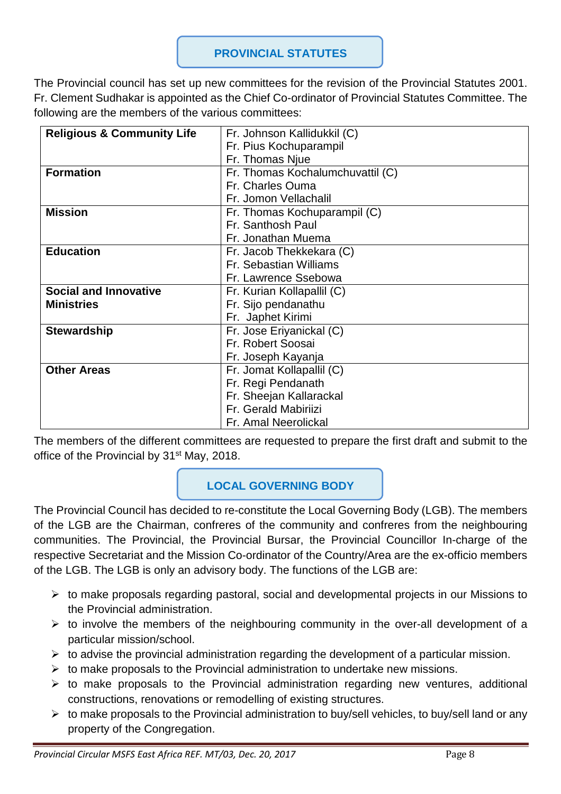#### **PROVINCIAL STATUTES**

The Provincial council has set up new committees for the revision of the Provincial Statutes 2001. Fr. Clement Sudhakar is appointed as the Chief Co-ordinator of Provincial Statutes Committee. The following are the members of the various committees:

| <b>Religious &amp; Community Life</b> | Fr. Johnson Kallidukkil (C)      |
|---------------------------------------|----------------------------------|
|                                       | Fr. Pius Kochuparampil           |
|                                       | Fr. Thomas Njue                  |
| <b>Formation</b>                      | Fr. Thomas Kochalumchuvattil (C) |
|                                       | Fr. Charles Ouma                 |
|                                       | Fr. Jomon Vellachalil            |
| <b>Mission</b>                        | Fr. Thomas Kochuparampil (C)     |
|                                       | Fr. Santhosh Paul                |
|                                       | Fr. Jonathan Muema               |
| <b>Education</b>                      | Fr. Jacob Thekkekara (C)         |
|                                       | Fr. Sebastian Williams           |
|                                       | Fr. Lawrence Ssebowa             |
| <b>Social and Innovative</b>          | Fr. Kurian Kollapallil (C)       |
| <b>Ministries</b>                     | Fr. Sijo pendanathu              |
|                                       | Fr. Japhet Kirimi                |
| <b>Stewardship</b>                    | Fr. Jose Eriyanickal (C)         |
|                                       | Fr. Robert Soosai                |
|                                       | Fr. Joseph Kayanja               |
| <b>Other Areas</b>                    | Fr. Jomat Kollapallil (C)        |
|                                       | Fr. Regi Pendanath               |
|                                       | Fr. Sheejan Kallarackal          |
|                                       | Fr. Gerald Mabiriizi             |
|                                       | Fr. Amal Neerolickal             |

The members of the different committees are requested to prepare the first draft and submit to the office of the Provincial by 31<sup>st</sup> May, 2018.

# **LOCAL GOVERNING BODY**

The Provincial Council has decided to re-constitute the Local Governing Body (LGB). The members of the LGB are the Chairman, confreres of the community and confreres from the neighbouring communities. The Provincial, the Provincial Bursar, the Provincial Councillor In-charge of the respective Secretariat and the Mission Co-ordinator of the Country/Area are the ex-officio members of the LGB. The LGB is only an advisory body. The functions of the LGB are:

- $\triangleright$  to make proposals regarding pastoral, social and developmental projects in our Missions to the Provincial administration.
- $\triangleright$  to involve the members of the neighbouring community in the over-all development of a particular mission/school.
- $\triangleright$  to advise the provincial administration regarding the development of a particular mission.
- $\triangleright$  to make proposals to the Provincial administration to undertake new missions.
- $\triangleright$  to make proposals to the Provincial administration regarding new ventures, additional constructions, renovations or remodelling of existing structures.
- $\triangleright$  to make proposals to the Provincial administration to buy/sell vehicles, to buy/sell land or any property of the Congregation.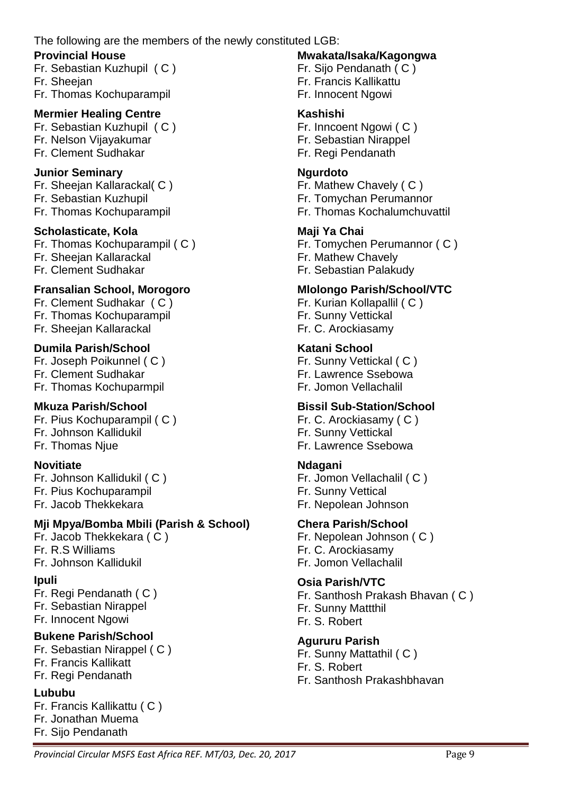The following are the members of the newly constituted LGB:

#### **Provincial House**

Fr. Sebastian Kuzhupil ( C ) Fr. Sheejan

Fr. Thomas Kochuparampil

### **Mermier Healing Centre**

Fr. Sebastian Kuzhupil ( C ) Fr. Nelson Vijayakumar

Fr. Clement Sudhakar

### **Junior Seminary**

Fr. Sheejan Kallarackal( C ) Fr. Sebastian Kuzhupil Fr. Thomas Kochuparampil

#### **Scholasticate, Kola**

Fr. Thomas Kochuparampil ( C ) Fr. Sheejan Kallarackal Fr. Clement Sudhakar

## **Fransalian School, Morogoro**

Fr. Clement Sudhakar ( C ) Fr. Thomas Kochuparampil Fr. Sheejan Kallarackal

#### **Dumila Parish/School**

Fr. Joseph Poikunnel ( C ) Fr. Clement Sudhakar Fr. Thomas Kochuparmpil

## **Mkuza Parish/School**

Fr. Pius Kochuparampil ( C ) Fr. Johnson Kallidukil Fr. Thomas Njue

#### **Novitiate**

Fr. Johnson Kallidukil ( C ) Fr. Pius Kochuparampil Fr. Jacob Thekkekara

## **Mji Mpya/Bomba Mbili (Parish & School)**

Fr. Jacob Thekkekara ( C ) Fr. R.S Williams Fr. Johnson Kallidukil

#### **Ipuli**

Fr. Regi Pendanath ( C ) Fr. Sebastian Nirappel Fr. Innocent Ngowi

## **Bukene Parish/School**

Fr. Sebastian Nirappel ( C ) Fr. Francis Kallikatt Fr. Regi Pendanath

#### **Lububu**

Fr. Francis Kallikattu ( C ) Fr. Jonathan Muema Fr. Sijo Pendanath

#### **Mwakata/Isaka/Kagongwa**

Fr. Sijo Pendanath ( C ) Fr. Francis Kallikattu Fr. Innocent Ngowi

#### **Kashishi**

Fr. Inncoent Ngowi ( C ) Fr. Sebastian Nirappel Fr. Regi Pendanath

#### **Ngurdoto**

Fr. Mathew Chavely ( C ) Fr. Tomychan Perumannor

Fr. Thomas Kochalumchuvattil

## **Maji Ya Chai**

Fr. Tomychen Perumannor ( C ) Fr. Mathew Chavely Fr. Sebastian Palakudy

### **Mlolongo Parish/School/VTC**

Fr. Kurian Kollapallil ( C ) Fr. Sunny Vettickal Fr. C. Arockiasamy

## **Katani School**

Fr. Sunny Vettickal ( C ) Fr. Lawrence Ssebowa Fr. Jomon Vellachalil

## **Bissil Sub-Station/School**

Fr. C. Arockiasamy ( C ) Fr. Sunny Vettickal Fr. Lawrence Ssebowa

#### **Ndagani**

Fr. Jomon Vellachalil ( C ) Fr. Sunny Vettical Fr. Nepolean Johnson

## **Chera Parish/School**

Fr. Nepolean Johnson ( C ) Fr. C. Arockiasamy Fr. Jomon Vellachalil

## **Osia Parish/VTC**

Fr. Santhosh Prakash Bhavan ( C ) Fr. Sunny Mattthil Fr. S. Robert

#### **Agururu Parish**

Fr. Sunny Mattathil ( C ) Fr. S. Robert Fr. Santhosh Prakashbhavan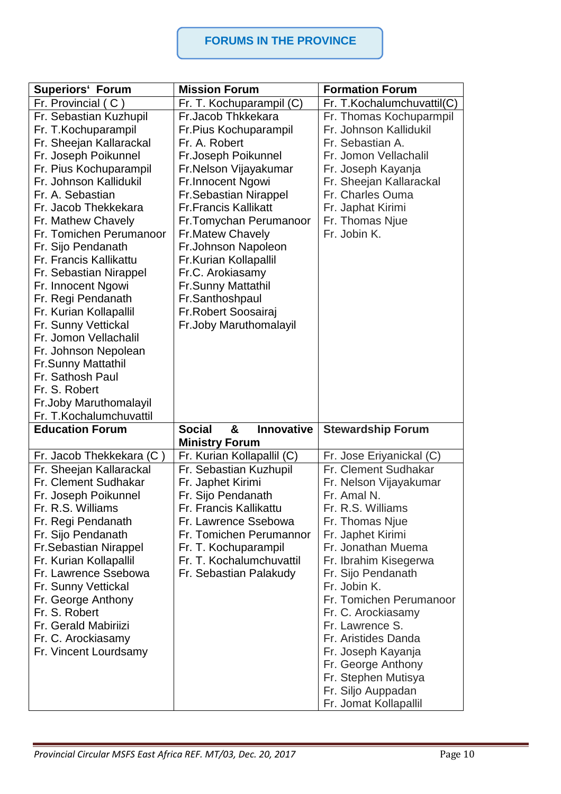#### **FORUMS IN THE PROVINCE**

| <b>Superiors' Forum</b>      | <b>Mission Forum</b>             | <b>Formation Forum</b>     |
|------------------------------|----------------------------------|----------------------------|
| Fr. Provincial (C)           | Fr. T. Kochuparampil (C)         | Fr. T.Kochalumchuvattil(C) |
| Fr. Sebastian Kuzhupil       | Fr.Jacob Thkkekara               | Fr. Thomas Kochuparmpil    |
| Fr. T. Kochuparampil         | Fr. Pius Kochuparampil           | Fr. Johnson Kallidukil     |
| Fr. Sheejan Kallarackal      | Fr. A. Robert                    | Fr. Sebastian A.           |
| Fr. Joseph Poikunnel         | Fr.Joseph Poikunnel              | Fr. Jomon Vellachalil      |
| Fr. Pius Kochuparampil       | Fr.Nelson Vijayakumar            | Fr. Joseph Kayanja         |
| Fr. Johnson Kallidukil       | Fr.Innocent Ngowi                | Fr. Sheejan Kallarackal    |
| Fr. A. Sebastian             | <b>Fr.Sebastian Nirappel</b>     | Fr. Charles Ouma           |
| Fr. Jacob Thekkekara         | <b>Fr.Francis Kallikatt</b>      | Fr. Japhat Kirimi          |
| Fr. Mathew Chavely           | Fr.Tomychan Perumanoor           | Fr. Thomas Njue            |
| Fr. Tomichen Perumanoor      | <b>Fr.Matew Chavely</b>          | Fr. Jobin K.               |
| Fr. Sijo Pendanath           | Fr.Johnson Napoleon              |                            |
| Fr. Francis Kallikattu       | Fr.Kurian Kollapallil            |                            |
| Fr. Sebastian Nirappel       | Fr.C. Arokiasamy                 |                            |
| Fr. Innocent Ngowi           | <b>Fr.Sunny Mattathil</b>        |                            |
| Fr. Regi Pendanath           | Fr.Santhoshpaul                  |                            |
| Fr. Kurian Kollapallil       | Fr.Robert Soosairaj              |                            |
| Fr. Sunny Vettickal          | Fr.Joby Maruthomalayil           |                            |
| Fr. Jomon Vellachalil        |                                  |                            |
| Fr. Johnson Nepolean         |                                  |                            |
| <b>Fr.Sunny Mattathil</b>    |                                  |                            |
| Fr. Sathosh Paul             |                                  |                            |
| Fr. S. Robert                |                                  |                            |
| Fr.Joby Maruthomalayil       |                                  |                            |
| Fr. T. Kochalumchuvattil     |                                  |                            |
| <b>Education Forum</b>       | <b>Social</b><br>Innovative<br>& | <b>Stewardship Forum</b>   |
|                              | <b>Ministry Forum</b>            |                            |
| Fr. Jacob Thekkekara (C)     | Fr. Kurian Kollapallil (C)       | Fr. Jose Eriyanickal (C)   |
| Fr. Sheejan Kallarackal      | Fr. Sebastian Kuzhupil           | Fr. Clement Sudhakar       |
| Fr. Clement Sudhakar         | Fr. Japhet Kirimi                | Fr. Nelson Vijayakumar     |
| Fr. Joseph Poikunnel         | Fr. Sijo Pendanath               | Fr. Amal N.                |
| Fr. R.S. Williams            | Fr. Francis Kallikattu           | Fr. R.S. Williams          |
| Fr. Regi Pendanath           | Fr. Lawrence Ssebowa             | Fr. Thomas Njue            |
| Fr. Sijo Pendanath           | Fr. Tomichen Perumannor          | Fr. Japhet Kirimi          |
| <b>Fr.Sebastian Nirappel</b> | Fr. T. Kochuparampil             | Fr. Jonathan Muema         |
| Fr. Kurian Kollapallil       | Fr. T. Kochalumchuvattil         | Fr. Ibrahim Kisegerwa      |
| Fr. Lawrence Ssebowa         | Fr. Sebastian Palakudy           | Fr. Sijo Pendanath         |
| Fr. Sunny Vettickal          |                                  | Fr. Jobin K.               |
| Fr. George Anthony           |                                  | Fr. Tomichen Perumanoor    |
| Fr. S. Robert                |                                  | Fr. C. Arockiasamy         |
| Fr. Gerald Mabiriizi         |                                  | Fr. Lawrence S.            |
| Fr. C. Arockiasamy           |                                  | Fr. Aristides Danda        |
| Fr. Vincent Lourdsamy        |                                  | Fr. Joseph Kayanja         |
|                              |                                  | Fr. George Anthony         |
|                              |                                  | Fr. Stephen Mutisya        |
|                              |                                  | Fr. Siljo Auppadan         |
|                              |                                  | Fr. Jomat Kollapallil      |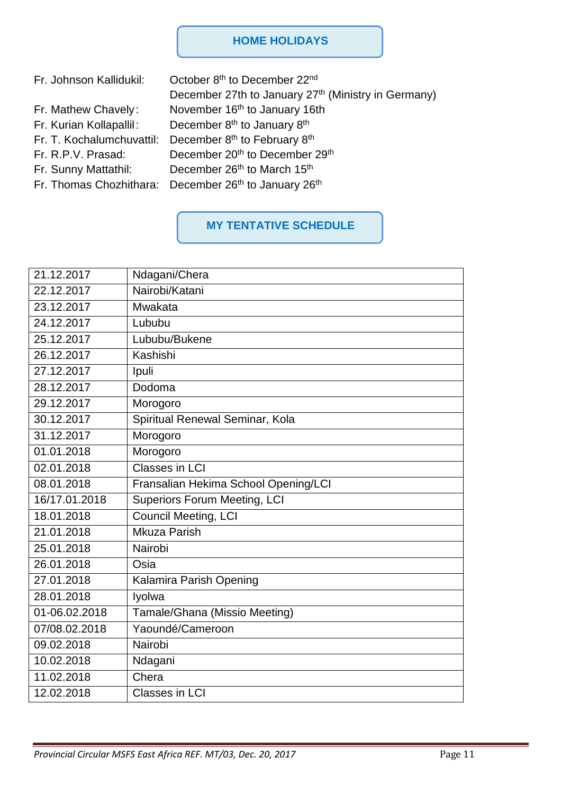#### **HOME HOLIDAYS**

| Fr. Johnson Kallidukil:   | October 8th to December 22nd                                                  |
|---------------------------|-------------------------------------------------------------------------------|
|                           | December 27th to January 27th (Ministry in Germany)                           |
| Fr. Mathew Chavely:       | November 16 <sup>th</sup> to January 16th                                     |
| Fr. Kurian Kollapallil:   | December 8 <sup>th</sup> to January 8 <sup>th</sup>                           |
| Fr. T. Kochalumchuvattil: | December 8 <sup>th</sup> to February 8 <sup>th</sup>                          |
| Fr. R.P.V. Prasad:        | December 20 <sup>th</sup> to December 29 <sup>th</sup>                        |
| Fr. Sunny Mattathil:      | December 26 <sup>th</sup> to March 15 <sup>th</sup>                           |
|                           | Fr. Thomas Chozhithara: December 26 <sup>th</sup> to January 26 <sup>th</sup> |
|                           |                                                                               |

# **MY TENTATIVE SCHEDULE**

| 21.12.2017    | Ndagani/Chera                        |
|---------------|--------------------------------------|
| 22.12.2017    | Nairobi/Katani                       |
| 23.12.2017    | Mwakata                              |
| 24.12.2017    | Lububu                               |
| 25.12.2017    | Lububu/Bukene                        |
| 26.12.2017    | Kashishi                             |
| 27.12.2017    | Ipuli                                |
| 28.12.2017    | Dodoma                               |
| 29.12.2017    | Morogoro                             |
| 30.12.2017    | Spiritual Renewal Seminar, Kola      |
| 31.12.2017    | Morogoro                             |
| 01.01.2018    | Morogoro                             |
| 02.01.2018    | Classes in LCI                       |
| 08.01.2018    | Fransalian Hekima School Opening/LCI |
| 16/17.01.2018 | <b>Superiors Forum Meeting, LCI</b>  |
| 18.01.2018    | <b>Council Meeting, LCI</b>          |
| 21.01.2018    | Mkuza Parish                         |
| 25.01.2018    | Nairobi                              |
| 26.01.2018    | Osia                                 |
| 27.01.2018    | Kalamira Parish Opening              |
| 28.01.2018    | Iyolwa                               |
| 01-06.02.2018 | Tamale/Ghana (Missio Meeting)        |
| 07/08.02.2018 | Yaoundé/Cameroon                     |
| 09.02.2018    | Nairobi                              |
| 10.02.2018    | Ndagani                              |
| 11.02.2018    | Chera                                |
| 12.02.2018    | <b>Classes in LCI</b>                |